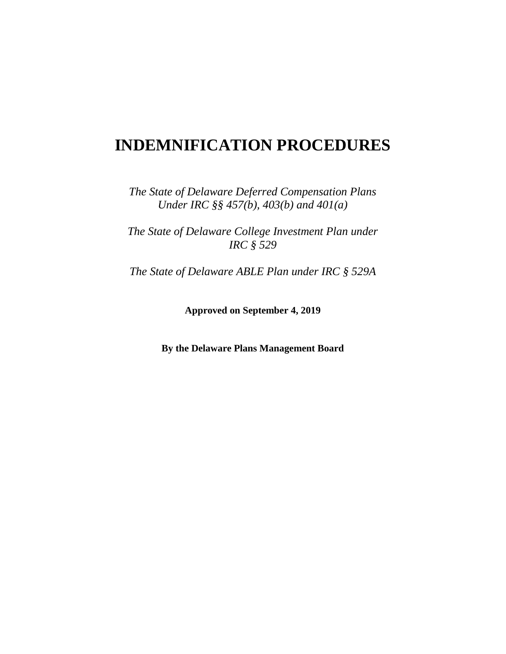# **INDEMNIFICATION PROCEDURES**

*The State of Delaware Deferred Compensation Plans Under IRC §§ 457(b), 403(b) and 401(a)*

*The State of Delaware College Investment Plan under IRC § 529*

*The State of Delaware ABLE Plan under IRC § 529A*

**Approved on September 4, 2019**

**By the Delaware Plans Management Board**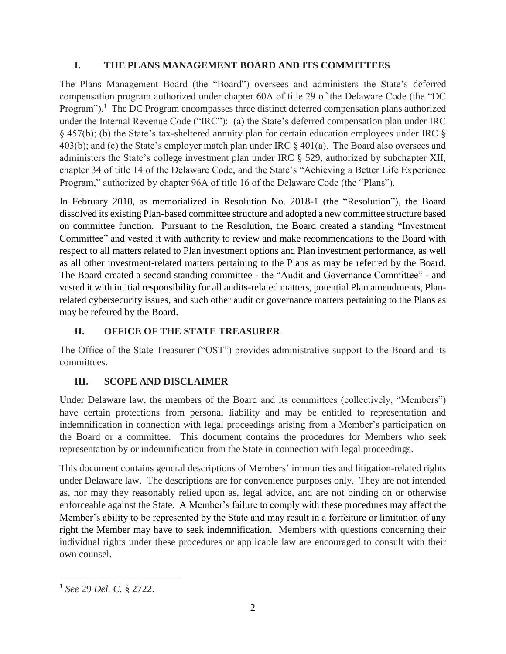## **I. THE PLANS MANAGEMENT BOARD AND ITS COMMITTEES**

The Plans Management Board (the "Board") oversees and administers the State's deferred compensation program authorized under chapter 60A of title 29 of the Delaware Code (the "DC Program").<sup>1</sup> The DC Program encompasses three distinct deferred compensation plans authorized under the Internal Revenue Code ("IRC"): (a) the State's deferred compensation plan under IRC § 457(b); (b) the State's tax-sheltered annuity plan for certain education employees under IRC § 403(b); and (c) the State's employer match plan under IRC § 401(a). The Board also oversees and administers the State's college investment plan under IRC § 529, authorized by subchapter XII, chapter 34 of title 14 of the Delaware Code, and the State's "Achieving a Better Life Experience Program," authorized by chapter 96A of title 16 of the Delaware Code (the "Plans").

In February 2018, as memorialized in Resolution No. 2018-1 (the "Resolution"), the Board dissolved its existing Plan-based committee structure and adopted a new committee structure based on committee function. Pursuant to the Resolution, the Board created a standing "Investment Committee" and vested it with authority to review and make recommendations to the Board with respect to all matters related to Plan investment options and Plan investment performance, as well as all other investment-related matters pertaining to the Plans as may be referred by the Board. The Board created a second standing committee - the "Audit and Governance Committee" - and vested it with intitial responsibility for all audits-related matters, potential Plan amendments, Planrelated cybersecurity issues, and such other audit or governance matters pertaining to the Plans as may be referred by the Board.

# **II. OFFICE OF THE STATE TREASURER**

The Office of the State Treasurer ("OST") provides administrative support to the Board and its committees.

## **III. SCOPE AND DISCLAIMER**

Under Delaware law, the members of the Board and its committees (collectively, "Members") have certain protections from personal liability and may be entitled to representation and indemnification in connection with legal proceedings arising from a Member's participation on the Board or a committee. This document contains the procedures for Members who seek representation by or indemnification from the State in connection with legal proceedings.

This document contains general descriptions of Members' immunities and litigation-related rights under Delaware law. The descriptions are for convenience purposes only. They are not intended as, nor may they reasonably relied upon as, legal advice, and are not binding on or otherwise enforceable against the State. A Member's failure to comply with these procedures may affect the Member's ability to be represented by the State and may result in a forfeiture or limitation of any right the Member may have to seek indemnification. Members with questions concerning their individual rights under these procedures or applicable law are encouraged to consult with their own counsel.

 $\overline{\phantom{a}}$ 1 *See* 29 *Del. C.* § 2722.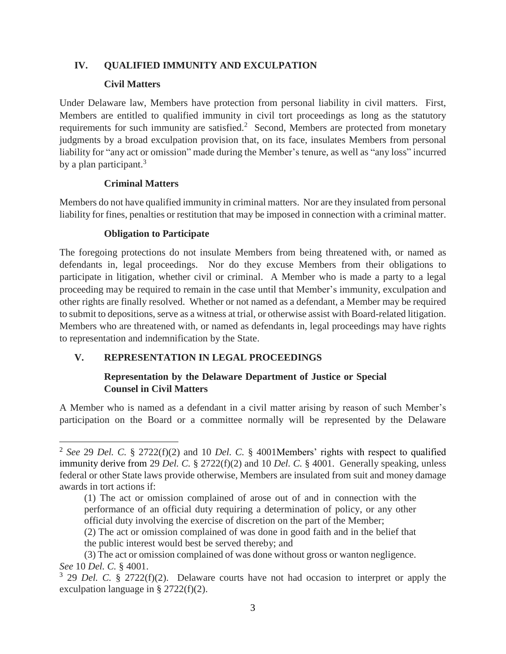#### **IV. QUALIFIED IMMUNITY AND EXCULPATION**

#### **Civil Matters**

Under Delaware law, Members have protection from personal liability in civil matters. First, Members are entitled to qualified immunity in civil tort proceedings as long as the statutory requirements for such immunity are satisfied.<sup>2</sup> Second, Members are protected from monetary judgments by a broad exculpation provision that, on its face, insulates Members from personal liability for "any act or omission" made during the Member's tenure, as well as "any loss" incurred by a plan participant.<sup>3</sup>

#### **Criminal Matters**

Members do not have qualified immunity in criminal matters. Nor are they insulated from personal liability for fines, penalties or restitution that may be imposed in connection with a criminal matter.

#### **Obligation to Participate**

The foregoing protections do not insulate Members from being threatened with, or named as defendants in, legal proceedings. Nor do they excuse Members from their obligations to participate in litigation, whether civil or criminal. A Member who is made a party to a legal proceeding may be required to remain in the case until that Member's immunity, exculpation and other rights are finally resolved. Whether or not named as a defendant, a Member may be required to submit to depositions, serve as a witness at trial, or otherwise assist with Board-related litigation. Members who are threatened with, or named as defendants in, legal proceedings may have rights to representation and indemnification by the State.

#### **V. REPRESENTATION IN LEGAL PROCEEDINGS**

#### **Representation by the Delaware Department of Justice or Special Counsel in Civil Matters**

A Member who is named as a defendant in a civil matter arising by reason of such Member's participation on the Board or a committee normally will be represented by the Delaware

 $\overline{a}$ 2 *See* 29 *Del. C.* § 2722(f)(2) and 10 *Del. C.* § 4001Members' rights with respect to qualified immunity derive from 29 *Del. C.* § 2722(f)(2) and 10 *Del. C.* § 4001. Generally speaking, unless federal or other State laws provide otherwise, Members are insulated from suit and money damage awards in tort actions if:

<sup>(1)</sup> The act or omission complained of arose out of and in connection with the performance of an official duty requiring a determination of policy, or any other official duty involving the exercise of discretion on the part of the Member;

<sup>(2)</sup> The act or omission complained of was done in good faith and in the belief that the public interest would best be served thereby; and

<sup>(3)</sup> The act or omission complained of was done without gross or wanton negligence. *See* 10 *Del. C.* § 4001.

<sup>3</sup> 29 *Del. C.* § 2722(f)(2). Delaware courts have not had occasion to interpret or apply the exculpation language in § 2722(f)(2).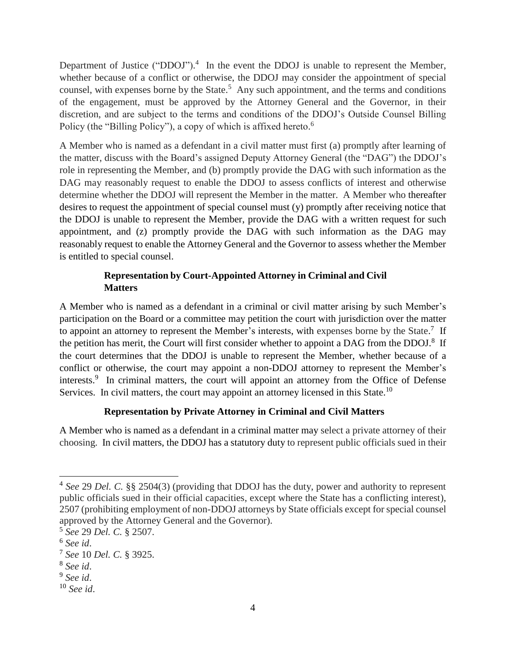Department of Justice ("DDOJ").<sup>4</sup> In the event the DDOJ is unable to represent the Member, whether because of a conflict or otherwise, the DDOJ may consider the appointment of special counsel, with expenses borne by the State.<sup>5</sup> Any such appointment, and the terms and conditions of the engagement, must be approved by the Attorney General and the Governor, in their discretion, and are subject to the terms and conditions of the DDOJ's Outside Counsel Billing Policy (the "Billing Policy"), a copy of which is affixed hereto.<sup>6</sup>

A Member who is named as a defendant in a civil matter must first (a) promptly after learning of the matter, discuss with the Board's assigned Deputy Attorney General (the "DAG") the DDOJ's role in representing the Member, and (b) promptly provide the DAG with such information as the DAG may reasonably request to enable the DDOJ to assess conflicts of interest and otherwise determine whether the DDOJ will represent the Member in the matter. A Member who thereafter desires to request the appointment of special counsel must (y) promptly after receiving notice that the DDOJ is unable to represent the Member, provide the DAG with a written request for such appointment, and (z) promptly provide the DAG with such information as the DAG may reasonably request to enable the Attorney General and the Governor to assess whether the Member is entitled to special counsel.

## **Representation by Court-Appointed Attorney in Criminal and Civil Matters**

A Member who is named as a defendant in a criminal or civil matter arising by such Member's participation on the Board or a committee may petition the court with jurisdiction over the matter to appoint an attorney to represent the Member's interests, with expenses borne by the State.<sup>7</sup> If the petition has merit, the Court will first consider whether to appoint a DAG from the DDOJ.<sup>8</sup> If the court determines that the DDOJ is unable to represent the Member, whether because of a conflict or otherwise, the court may appoint a non-DDOJ attorney to represent the Member's interests.<sup>9</sup> In criminal matters, the court will appoint an attorney from the Office of Defense Services. In civil matters, the court may appoint an attorney licensed in this State.<sup>10</sup>

#### **Representation by Private Attorney in Criminal and Civil Matters**

A Member who is named as a defendant in a criminal matter may select a private attorney of their choosing. In civil matters, the DDOJ has a statutory duty to represent public officials sued in their

 $\overline{\phantom{a}}$ 

<sup>4</sup> *See* 29 *Del. C.* §§ 2504(3) (providing that DDOJ has the duty, power and authority to represent public officials sued in their official capacities, except where the State has a conflicting interest), 2507 (prohibiting employment of non-DDOJ attorneys by State officials except for special counsel approved by the Attorney General and the Governor).

<sup>5</sup> *See* 29 *Del. C.* § 2507.

<sup>6</sup> *See id*.

<sup>7</sup> *See* 10 *Del. C.* § 3925.

<sup>8</sup> *See id*.

<sup>9</sup> *See id*.

<sup>10</sup> *See id*.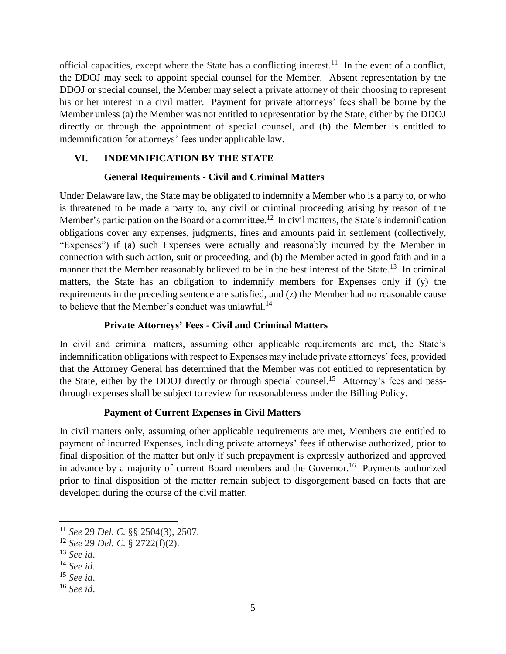official capacities, except where the State has a conflicting interest.<sup>11</sup> In the event of a conflict, the DDOJ may seek to appoint special counsel for the Member. Absent representation by the DDOJ or special counsel, the Member may select a private attorney of their choosing to represent his or her interest in a civil matter. Payment for private attorneys' fees shall be borne by the Member unless (a) the Member was not entitled to representation by the State, either by the DDOJ directly or through the appointment of special counsel, and (b) the Member is entitled to indemnification for attorneys' fees under applicable law.

## **VI. INDEMNIFICATION BY THE STATE**

#### **General Requirements - Civil and Criminal Matters**

Under Delaware law, the State may be obligated to indemnify a Member who is a party to, or who is threatened to be made a party to, any civil or criminal proceeding arising by reason of the Member's participation on the Board or a committee.<sup>12</sup> In civil matters, the State's indemnification obligations cover any expenses, judgments, fines and amounts paid in settlement (collectively, "Expenses") if (a) such Expenses were actually and reasonably incurred by the Member in connection with such action, suit or proceeding, and (b) the Member acted in good faith and in a manner that the Member reasonably believed to be in the best interest of the State.<sup>13</sup> In criminal matters, the State has an obligation to indemnify members for Expenses only if (y) the requirements in the preceding sentence are satisfied, and (z) the Member had no reasonable cause to believe that the Member's conduct was unlawful.<sup>14</sup>

### **Private Attorneys' Fees - Civil and Criminal Matters**

In civil and criminal matters, assuming other applicable requirements are met, the State's indemnification obligations with respect to Expenses may include private attorneys' fees, provided that the Attorney General has determined that the Member was not entitled to representation by the State, either by the DDOJ directly or through special counsel.<sup>15</sup> Attorney's fees and passthrough expenses shall be subject to review for reasonableness under the Billing Policy.

#### **Payment of Current Expenses in Civil Matters**

In civil matters only, assuming other applicable requirements are met, Members are entitled to payment of incurred Expenses, including private attorneys' fees if otherwise authorized, prior to final disposition of the matter but only if such prepayment is expressly authorized and approved in advance by a majority of current Board members and the Governor.<sup>16</sup> Payments authorized prior to final disposition of the matter remain subject to disgorgement based on facts that are developed during the course of the civil matter.

 $\overline{\phantom{a}}$ 

<sup>11</sup> *See* 29 *Del. C.* §§ 2504(3), 2507.

<sup>12</sup> *See* 29 *Del. C.* § 2722(f)(2).

<sup>13</sup> *See id*.

<sup>14</sup> *See id*.

<sup>15</sup> *See id*.

<sup>16</sup> *See id*.